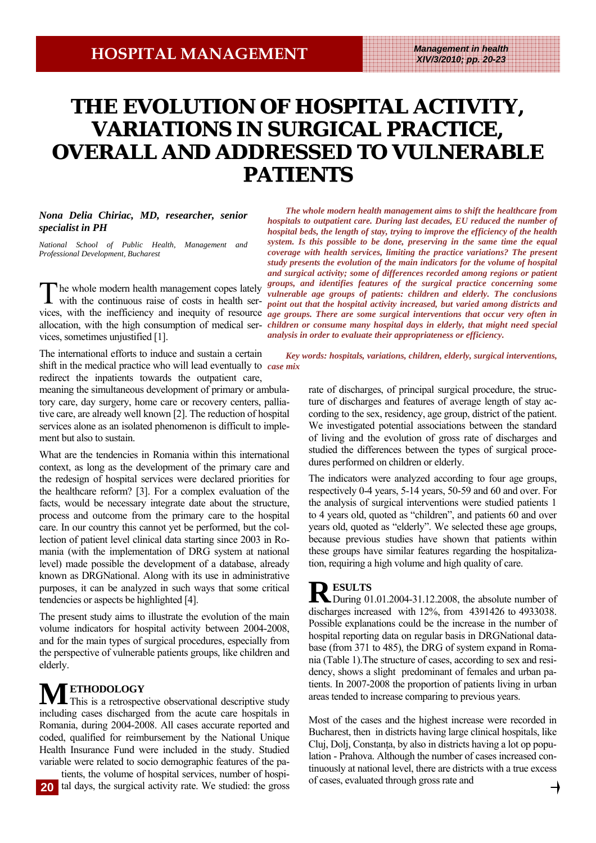# THE EVOLUTION OF HOSPITAL ACTIVITY, **VARIATIONS IN SURGICAL PRACTICE, OVERALL AND ADDRESSED TO VULNERABLE PATIENTS**

### *Nona Delia Chiriac, MD, researcher, senior specialist in PH*

*National School of Public Health, Management and Professional Development, Bucharest*

The whole modern health management copes lately with the continuous raise of costs in health services, sometimes unjustified [1].

The international efforts to induce and sustain a certain shift in the medical practice who will lead eventually to *case mix*  redirect the inpatients towards the outpatient care,

meaning the simultaneous development of primary or ambulatory care, day surgery, home care or recovery centers, palliative care, are already well known [2]. The reduction of hospital services alone as an isolated phenomenon is difficult to implement but also to sustain.

What are the tendencies in Romania within this international context, as long as the development of the primary care and the redesign of hospital services were declared priorities for the healthcare reform? [3]. For a complex evaluation of the facts, would be necessary integrate date about the structure, process and outcome from the primary care to the hospital care. In our country this cannot yet be performed, but the collection of patient level clinical data starting since 2003 in Romania (with the implementation of DRG system at national level) made possible the development of a database, already known as DRGNational. Along with its use in administrative purposes, it can be analyzed in such ways that some critical tendencies or aspects be highlighted [4].

The present study aims to illustrate the evolution of the main volume indicators for hospital activity between 2004-2008, and for the main types of surgical procedures, especially from the perspective of vulnerable patients groups, like children and elderly.

**METHODOLOGY**<br>
This is a retrospective observational descriptive study including cases discharged from the acute care hospitals in Romania, during 2004-2008. All cases accurate reported and coded, qualified for reimbursement by the National Unique Health Insurance Fund were included in the study. Studied variable were related to socio demographic features of the pa-

tients, the volume of hospital services, number of hospital days, the surgical activity rate. We studied: the gross **20**

vices, with the inefficiency and inequity of resource *age groups. There are some surgical interventions that occur very often in* allocation, with the high consumption of medical ser- *children or consume many hospital days in elderly, that might need special The whole modern health management aims to shift the healthcare from hospitals to outpatient care. During last decades, EU reduced the number of hospital beds, the length of stay, trying to improve the efficiency of the health system. Is this possible to be done, preserving in the same time the equal coverage with health services, limiting the practice variations? The present study presents the evolution of the main indicators for the volume of hospital and surgical activity; some of differences recorded among regions or patient groups, and identifies features of the surgical practice concerning some vulnerable age groups of patients: children and elderly. The conclusions point out that the hospital activity increased, but varied among districts and analysis in order to evaluate their appropriateness or efficiency.* 

*Key words: hospitals, variations, children, elderly, surgical interventions,* 

rate of discharges, of principal surgical procedure, the structure of discharges and features of average length of stay according to the sex, residency, age group, district of the patient. We investigated potential associations between the standard of living and the evolution of gross rate of discharges and studied the differences between the types of surgical procedures performed on children or elderly.

The indicators were analyzed according to four age groups, respectively 0-4 years, 5-14 years, 50-59 and 60 and over. For the analysis of surgical interventions were studied patients 1 to 4 years old, quoted as "children", and patients 60 and over years old, quoted as "elderly". We selected these age groups, because previous studies have shown that patients within these groups have similar features regarding the hospitalization, requiring a high volume and high quality of care.

**R ESULTS**<br>
During 01.01.2004-31.12.2008, the absolute number of discharges increased with 12%, from 4391426 to 4933038. Possible explanations could be the increase in the number of hospital reporting data on regular basis in DRGNational database (from 371 to 485), the DRG of system expand in Romania (Table 1).The structure of cases, according to sex and residency, shows a slight predominant of females and urban patients. In 2007-2008 the proportion of patients living in urban areas tended to increase comparing to previous years.

Most of the cases and the highest increase were recorded in Bucharest, then in districts having large clinical hospitals, like Cluj, Dolj, Constanţa, by also in districts having a lot op population - Prahova. Although the number of cases increased continuously at national level, there are districts with a true excess of cases, evaluated through gross rate and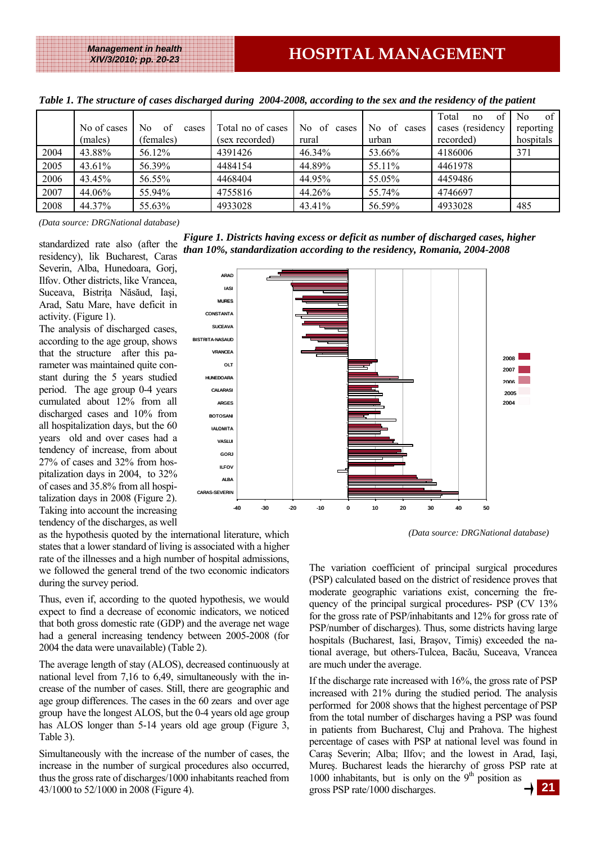*XIV/3/2010; pp. 20-23* 

|      | No of cases<br>(males) | No.<br>of<br>cases<br>(females) | Total no of cases<br>(sex recorded) | No of<br>cases<br>rural | No.<br>0f<br>cases<br>urban | Total<br>of<br>no<br>cases (residency<br>recorded) | of 1<br>N <sub>0</sub><br>reporting<br>hospitals |
|------|------------------------|---------------------------------|-------------------------------------|-------------------------|-----------------------------|----------------------------------------------------|--------------------------------------------------|
| 2004 | 43.88%                 | 56.12%                          | 4391426                             | 46.34%                  | 53.66%                      | 4186006                                            | 371                                              |
| 2005 | 43.61%                 | 56.39%                          | 4484154                             | 44.89%                  | 55.11%                      | 4461978                                            |                                                  |
| 2006 | 43.45%                 | 56.55%                          | 4468404                             | 44.95%                  | 55.05%                      | 4459486                                            |                                                  |
| 2007 | 44.06%                 | 55.94%                          | 4755816                             | 44.26%                  | 55.74%                      | 4746697                                            |                                                  |
| 2008 | 44.37%                 | 55.63%                          | 4933028                             | 43.41%                  | 56.59%                      | 4933028                                            | 485                                              |

*Table 1. The structure of cases discharged during 2004-2008, according to the sex and the residency of the patient* 

*(Data source: DRGNational database)* 

standardized rate also (after the residency), lik Bucharest, Caras Severin, Alba, Hunedoara, Gorj, Ilfov. Other districts, like Vrancea, Suceava, Bistriţa Năsăud, Iaşi, Arad, Satu Mare, have deficit in activity. (Figure 1).

The analysis of discharged cases, according to the age group, shows that the structure after this parameter was maintained quite constant during the 5 years studied period. The age group 0-4 years cumulated about 12% from all discharged cases and 10% from all hospitalization days, but the 60 years old and over cases had a tendency of increase, from about 27% of cases and 32% from hospitalization days in 2004, to 32% of cases and 35.8% from all hospitalization days in 2008 (Figure 2). Taking into account the increasing tendency of the discharges, as well

*Figure 1. Districts having excess or deficit as number of discharged cases, higher than 10%, standardization according to the residency, Romania, 2004-2008* 



*(Data source: DRGNational database)* 

as the hypothesis quoted by the international literature, which states that a lower standard of living is associated with a higher rate of the illnesses and a high number of hospital admissions, we followed the general trend of the two economic indicators during the survey period.

Thus, even if, according to the quoted hypothesis, we would expect to find a decrease of economic indicators, we noticed that both gross domestic rate (GDP) and the average net wage had a general increasing tendency between 2005-2008 (for 2004 the data were unavailable) (Table 2).

The average length of stay (ALOS), decreased continuously at national level from 7,16 to 6,49, simultaneously with the increase of the number of cases. Still, there are geographic and age group differences. The cases in the 60 zears and over age group have the longest ALOS, but the 0-4 years old age group has ALOS longer than 5-14 years old age group (Figure 3, Table 3).

Simultaneously with the increase of the number of cases, the increase in the number of surgical procedures also occurred, thus the gross rate of discharges/1000 inhabitants reached from 43/1000 to 52/1000 in 2008 (Figure 4). **21**

The variation coefficient of principal surgical procedures (PSP) calculated based on the district of residence proves that moderate geographic variations exist, concerning the frequency of the principal surgical procedures- PSP (CV 13% for the gross rate of PSP/inhabitants and 12% for gross rate of PSP/number of discharges). Thus, some districts having large hospitals (Bucharest, Iasi, Braşov, Timiş) exceeded the national average, but others-Tulcea, Bacău, Suceava, Vrancea are much under the average.

If the discharge rate increased with 16%, the gross rate of PSP increased with 21% during the studied period. The analysis performed for 2008 shows that the highest percentage of PSP from the total number of discharges having a PSP was found in patients from Bucharest, Cluj and Prahova. The highest percentage of cases with PSP at national level was found in Caraş Severin; Alba; Ilfov; and the lowest in Arad, Iaşi, Mureş. Bucharest leads the hierarchy of gross PSP rate at 1000 inhabitants, but is only on the  $9<sup>th</sup>$  position as gross PSP rate/1000 discharges.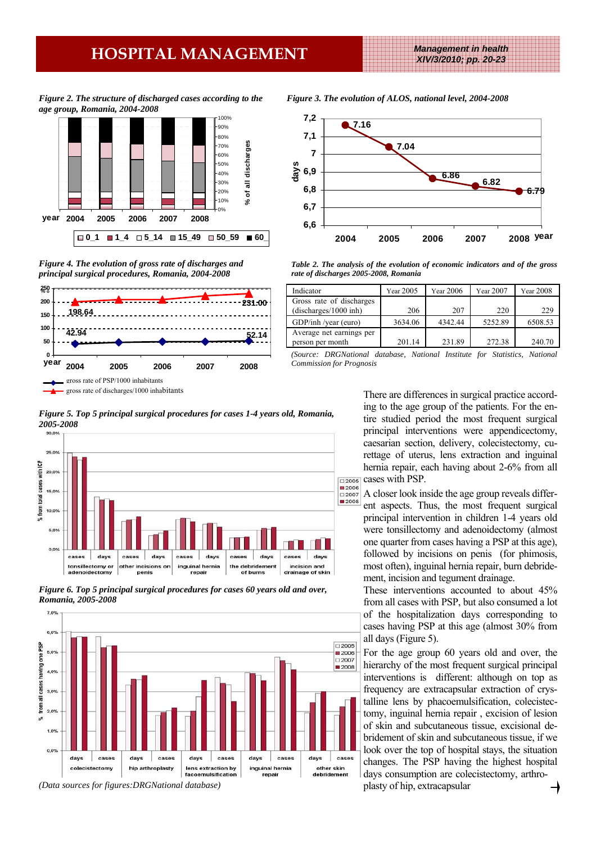## **HOSPITAL MANAGEMENT** *Management in health*

*XIV/3/2010; pp. 20-23* 

*Figure 2. The structure of discharged cases according to the age group, Romania, 2004-2008* 



*Figure 4. The evolution of gross rate of discharges and principal surgical procedures, Romania, 2004-2008* 





*Figure 5. Top 5 principal surgical procedures for cases 1-4 years old, Romania,* 

*Figure 6. Top 5 principal surgical procedures for cases 60 years old and over, Romania, 2005-2008* 



*<sup>(</sup>Data sources for figures:DRGNational database)* 

*Figure 3. The evolution of ALOS, national level, 2004-2008* 



*Table 2. The analysis of the evolution of economic indicators and of the gross rate of discharges 2005-2008, Romania* 

| Indicator                                         | Year 2005 | Year 2006 | Year 2007 | <b>Year 2008</b> |
|---------------------------------------------------|-----------|-----------|-----------|------------------|
| Gross rate of discharges<br>(discharges/1000 inh) | 206       | 207       | 220       | 229              |
| GDP/inh /year (euro)                              | 3634.06   | 4342.44   | 5252.89   | 6508.53          |
| Average net earnings per<br>person per month      | 201.14    | 231.89    | 272.38    | 240.70           |

*(Source: DRGNational database, National Institute for Statistics, National Commission for Prognosis*

> There are differences in surgical practice according to the age group of the patients. For the entire studied period the most frequent surgical principal interventions were appendicectomy, caesarian section, delivery, colecistectomy, curettage of uterus, lens extraction and inguinal hernia repair, each having about 2-6% from all cases with PSP.

> A closer look inside the age group reveals different aspects. Thus, the most frequent surgical principal intervention in children 1-4 years old were tonsillectomy and adenoidectomy (almost one quarter from cases having a PSP at this age), followed by incisions on penis (for phimosis, most often), inguinal hernia repair, burn debridement, incision and tegument drainage.

> These interventions accounted to about 45% from all cases with PSP, but also consumed a lot of the hospitalization days corresponding to cases having PSP at this age (almost 30% from all days (Figure 5).

> For the age group 60 years old and over, the hierarchy of the most frequent surgical principal interventions is different: although on top as frequency are extracapsular extraction of crystalline lens by phacoemulsification, colecistectomy, inguinal hernia repair , excision of lesion of skin and subcutaneous tissue, excisional debridement of skin and subcutaneous tissue, if we look over the top of hospital stays, the situation changes. The PSP having the highest hospital days consumption are colecistectomy, arthroplasty of hip, extracapsular